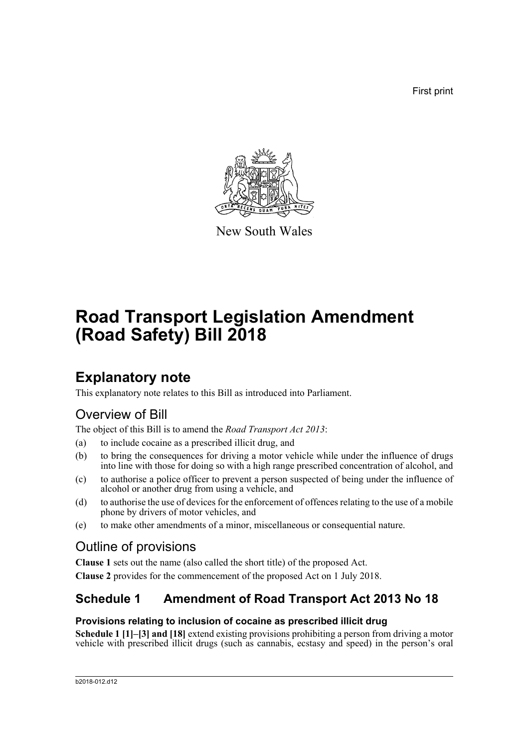First print



New South Wales

# **Road Transport Legislation Amendment (Road Safety) Bill 2018**

## **Explanatory note**

This explanatory note relates to this Bill as introduced into Parliament.

## Overview of Bill

The object of this Bill is to amend the *Road Transport Act 2013*:

- (a) to include cocaine as a prescribed illicit drug, and
- (b) to bring the consequences for driving a motor vehicle while under the influence of drugs into line with those for doing so with a high range prescribed concentration of alcohol, and
- (c) to authorise a police officer to prevent a person suspected of being under the influence of alcohol or another drug from using a vehicle, and
- (d) to authorise the use of devices for the enforcement of offences relating to the use of a mobile phone by drivers of motor vehicles, and
- (e) to make other amendments of a minor, miscellaneous or consequential nature.

### Outline of provisions

**Clause 1** sets out the name (also called the short title) of the proposed Act.

**Clause 2** provides for the commencement of the proposed Act on 1 July 2018.

### **Schedule 1 Amendment of Road Transport Act 2013 No 18**

### **Provisions relating to inclusion of cocaine as prescribed illicit drug**

**Schedule 1 [1]–[3] and [18]** extend existing provisions prohibiting a person from driving a motor vehicle with prescribed illicit drugs (such as cannabis, ecstasy and speed) in the person's oral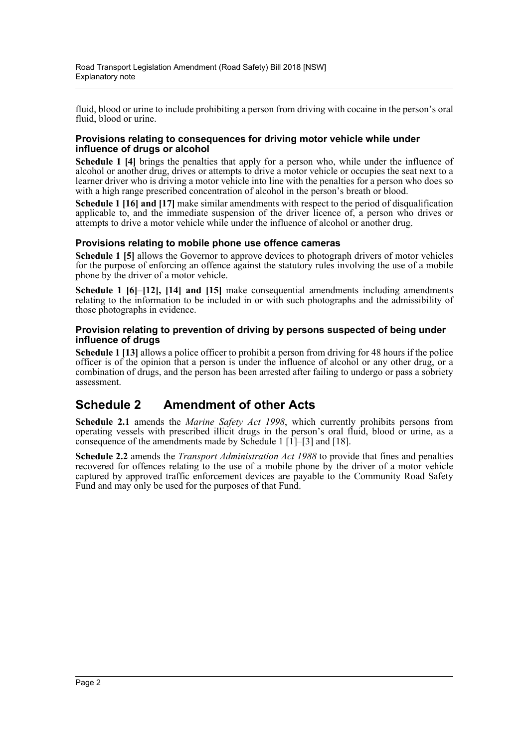fluid, blood or urine to include prohibiting a person from driving with cocaine in the person's oral fluid, blood or urine.

#### **Provisions relating to consequences for driving motor vehicle while under influence of drugs or alcohol**

**Schedule 1 [4]** brings the penalties that apply for a person who, while under the influence of alcohol or another drug, drives or attempts to drive a motor vehicle or occupies the seat next to a learner driver who is driving a motor vehicle into line with the penalties for a person who does so with a high range prescribed concentration of alcohol in the person's breath or blood.

**Schedule 1 [16] and [17]** make similar amendments with respect to the period of disqualification applicable to, and the immediate suspension of the driver licence of, a person who drives or attempts to drive a motor vehicle while under the influence of alcohol or another drug.

#### **Provisions relating to mobile phone use offence cameras**

**Schedule 1 [5]** allows the Governor to approve devices to photograph drivers of motor vehicles for the purpose of enforcing an offence against the statutory rules involving the use of a mobile phone by the driver of a motor vehicle.

**Schedule 1 [6]–[12], [14] and [15]** make consequential amendments including amendments relating to the information to be included in or with such photographs and the admissibility of those photographs in evidence.

#### **Provision relating to prevention of driving by persons suspected of being under influence of drugs**

**Schedule 1 [13]** allows a police officer to prohibit a person from driving for 48 hours if the police officer is of the opinion that a person is under the influence of alcohol or any other drug, or a combination of drugs, and the person has been arrested after failing to undergo or pass a sobriety assessment.

### **Schedule 2 Amendment of other Acts**

**Schedule 2.1** amends the *Marine Safety Act 1998*, which currently prohibits persons from operating vessels with prescribed illicit drugs in the person's oral fluid, blood or urine, as a consequence of the amendments made by Schedule 1  $[1]$ –[3] and [18].

**Schedule 2.2** amends the *Transport Administration Act 1988* to provide that fines and penalties recovered for offences relating to the use of a mobile phone by the driver of a motor vehicle captured by approved traffic enforcement devices are payable to the Community Road Safety Fund and may only be used for the purposes of that Fund.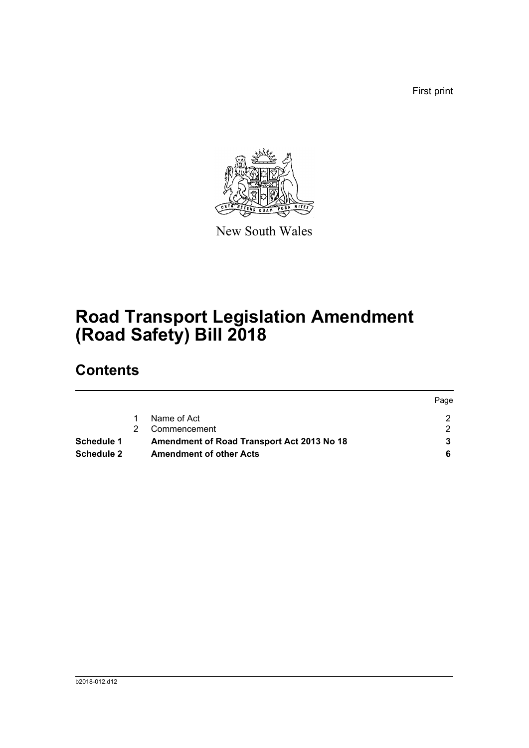First print

Page



New South Wales

# **Road Transport Legislation Amendment (Road Safety) Bill 2018**

## **Contents**

|                                                                 |  |                                | <b>rage</b> |
|-----------------------------------------------------------------|--|--------------------------------|-------------|
|                                                                 |  | Name of Act                    |             |
|                                                                 |  | Commencement                   |             |
| Amendment of Road Transport Act 2013 No 18<br><b>Schedule 1</b> |  |                                |             |
| <b>Schedule 2</b>                                               |  | <b>Amendment of other Acts</b> |             |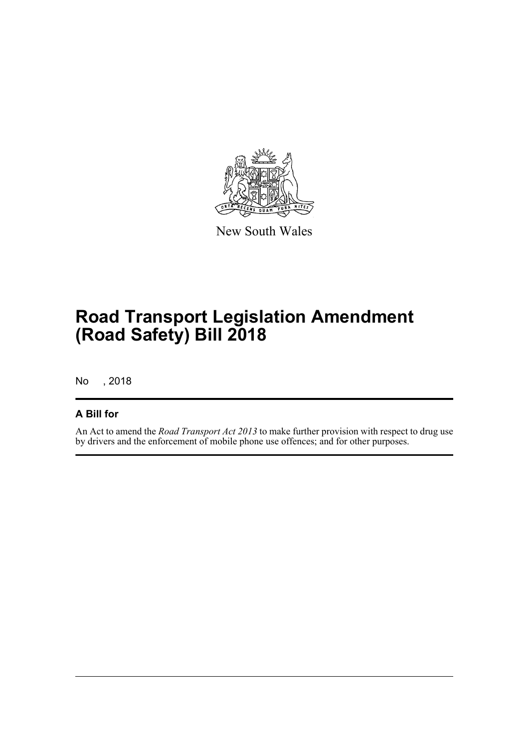

New South Wales

## **Road Transport Legislation Amendment (Road Safety) Bill 2018**

No , 2018

### **A Bill for**

An Act to amend the *Road Transport Act 2013* to make further provision with respect to drug use by drivers and the enforcement of mobile phone use offences; and for other purposes.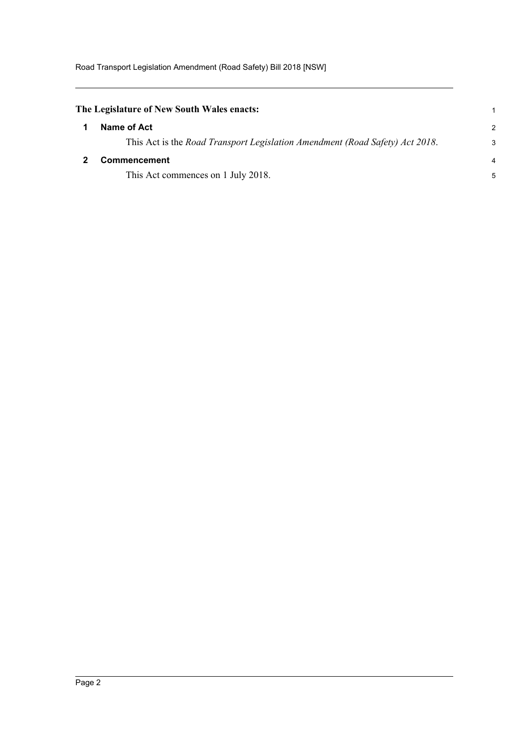<span id="page-4-1"></span><span id="page-4-0"></span>

| The Legislature of New South Wales enacts:                                   |               |  |
|------------------------------------------------------------------------------|---------------|--|
| Name of Act                                                                  | $\mathcal{P}$ |  |
| This Act is the Road Transport Legislation Amendment (Road Safety) Act 2018. | 3             |  |
| <b>Commencement</b>                                                          |               |  |
| This Act commences on 1 July 2018.                                           | 5             |  |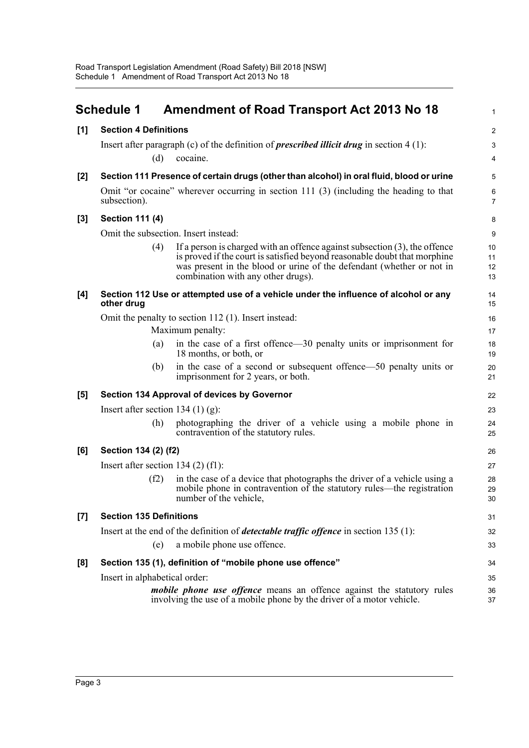<span id="page-5-0"></span>

|       | <b>Schedule 1</b>                                         | <b>Amendment of Road Transport Act 2013 No 18</b>                                                                                                                                                                                                                         | $\mathbf{1}$         |  |  |
|-------|-----------------------------------------------------------|---------------------------------------------------------------------------------------------------------------------------------------------------------------------------------------------------------------------------------------------------------------------------|----------------------|--|--|
| [1]   | <b>Section 4 Definitions</b>                              |                                                                                                                                                                                                                                                                           | $\overline{c}$       |  |  |
|       |                                                           | Insert after paragraph (c) of the definition of <i>prescribed illicit drug</i> in section $4(1)$ :                                                                                                                                                                        | 3                    |  |  |
|       | (d)                                                       | cocaine.                                                                                                                                                                                                                                                                  | 4                    |  |  |
| [2]   |                                                           | Section 111 Presence of certain drugs (other than alcohol) in oral fluid, blood or urine                                                                                                                                                                                  | 5                    |  |  |
|       | subsection).                                              | Omit "or cocaine" wherever occurring in section 111 (3) (including the heading to that                                                                                                                                                                                    | 6<br>$\overline{7}$  |  |  |
| $[3]$ | <b>Section 111 (4)</b>                                    |                                                                                                                                                                                                                                                                           | 8                    |  |  |
|       | Omit the subsection. Insert instead:                      |                                                                                                                                                                                                                                                                           | 9                    |  |  |
|       | (4)                                                       | If a person is charged with an offence against subsection $(3)$ , the offence<br>is proved if the court is satisfied beyond reasonable doubt that morphine<br>was present in the blood or urine of the defendant (whether or not in<br>combination with any other drugs). | 10<br>11<br>12<br>13 |  |  |
| [4]   | other drug                                                | Section 112 Use or attempted use of a vehicle under the influence of alcohol or any                                                                                                                                                                                       | 14<br>15             |  |  |
|       |                                                           | Omit the penalty to section 112 (1). Insert instead:                                                                                                                                                                                                                      | 16                   |  |  |
|       |                                                           | Maximum penalty:                                                                                                                                                                                                                                                          | 17                   |  |  |
|       | (a)                                                       | in the case of a first offence—30 penalty units or imprisonment for<br>18 months, or both, or                                                                                                                                                                             | 18<br>19             |  |  |
|       | (b)                                                       | in the case of a second or subsequent offence—50 penalty units or<br>imprisonment for 2 years, or both.                                                                                                                                                                   | 20<br>21             |  |  |
| [5]   |                                                           | Section 134 Approval of devices by Governor                                                                                                                                                                                                                               | 22                   |  |  |
|       | Insert after section 134 $(1)$ (g):                       |                                                                                                                                                                                                                                                                           | 23                   |  |  |
|       | (h)                                                       | photographing the driver of a vehicle using a mobile phone in<br>contravention of the statutory rules.                                                                                                                                                                    | 24<br>25             |  |  |
| [6]   | Section 134 (2) (f2)                                      |                                                                                                                                                                                                                                                                           | 26                   |  |  |
|       | Insert after section $134(2)$ (f1):                       |                                                                                                                                                                                                                                                                           | 27                   |  |  |
|       | (f2)                                                      | in the case of a device that photographs the driver of a vehicle using a<br>mobile phone in contravention of the statutory rules—the registration<br>number of the vehicle,                                                                                               | 28<br>29<br>$30\,$   |  |  |
| $[7]$ | <b>Section 135 Definitions</b>                            |                                                                                                                                                                                                                                                                           | 31                   |  |  |
|       |                                                           | Insert at the end of the definition of <i>detectable traffic offence</i> in section 135 (1):                                                                                                                                                                              | 32                   |  |  |
|       | (e)                                                       | a mobile phone use offence.                                                                                                                                                                                                                                               | 33                   |  |  |
| [8]   | Section 135 (1), definition of "mobile phone use offence" |                                                                                                                                                                                                                                                                           |                      |  |  |
|       | Insert in alphabetical order:                             |                                                                                                                                                                                                                                                                           | 35                   |  |  |
|       |                                                           | <i>mobile phone use offence</i> means an offence against the statutory rules<br>involving the use of a mobile phone by the driver of a motor vehicle.                                                                                                                     | 36<br>37             |  |  |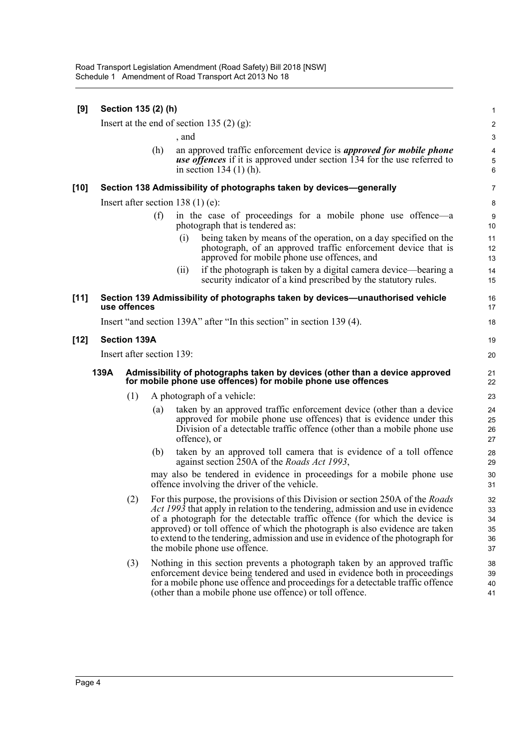| [9]    |                                                                                                                                                     | Section 135 (2) (h) |     |                                    |                                                                                                                                                                                                                                                                                                                                                                                                                                                          | 1                                |
|--------|-----------------------------------------------------------------------------------------------------------------------------------------------------|---------------------|-----|------------------------------------|----------------------------------------------------------------------------------------------------------------------------------------------------------------------------------------------------------------------------------------------------------------------------------------------------------------------------------------------------------------------------------------------------------------------------------------------------------|----------------------------------|
|        | Insert at the end of section 135 $(2)$ (g):                                                                                                         |                     |     |                                    |                                                                                                                                                                                                                                                                                                                                                                                                                                                          | $\overline{\mathbf{c}}$          |
|        |                                                                                                                                                     |                     |     | , and                              |                                                                                                                                                                                                                                                                                                                                                                                                                                                          | 3                                |
|        |                                                                                                                                                     |                     | (h) |                                    | an approved traffic enforcement device is <i>approved for mobile phone</i><br><b>use offences</b> if it is approved under section 134 for the use referred to<br>in section $134(1)$ (h).                                                                                                                                                                                                                                                                | 4<br>5<br>6                      |
| $[10]$ |                                                                                                                                                     |                     |     |                                    | Section 138 Admissibility of photographs taken by devices-generally                                                                                                                                                                                                                                                                                                                                                                                      | 7                                |
|        |                                                                                                                                                     |                     |     | Insert after section $138(1)(e)$ : |                                                                                                                                                                                                                                                                                                                                                                                                                                                          | 8                                |
|        |                                                                                                                                                     |                     | (f) |                                    | in the case of proceedings for a mobile phone use offence—a<br>photograph that is tendered as:                                                                                                                                                                                                                                                                                                                                                           | 9<br>10                          |
|        |                                                                                                                                                     |                     |     | (i)                                | being taken by means of the operation, on a day specified on the<br>photograph, of an approved traffic enforcement device that is<br>approved for mobile phone use offences, and                                                                                                                                                                                                                                                                         | 11<br>12<br>13                   |
|        |                                                                                                                                                     |                     |     | (ii)                               | if the photograph is taken by a digital camera device—bearing a<br>security indicator of a kind prescribed by the statutory rules.                                                                                                                                                                                                                                                                                                                       | 14<br>15                         |
| $[11]$ |                                                                                                                                                     | use offences        |     |                                    | Section 139 Admissibility of photographs taken by devices—unauthorised vehicle                                                                                                                                                                                                                                                                                                                                                                           | 16<br>17                         |
|        |                                                                                                                                                     |                     |     |                                    | Insert "and section 139A" after "In this section" in section 139 (4).                                                                                                                                                                                                                                                                                                                                                                                    | 18                               |
| $[12]$ |                                                                                                                                                     | <b>Section 139A</b> |     |                                    |                                                                                                                                                                                                                                                                                                                                                                                                                                                          | 19                               |
|        | Insert after section 139:                                                                                                                           |                     |     |                                    |                                                                                                                                                                                                                                                                                                                                                                                                                                                          | 20                               |
|        | 139A<br>Admissibility of photographs taken by devices (other than a device approved<br>for mobile phone use offences) for mobile phone use offences |                     |     |                                    |                                                                                                                                                                                                                                                                                                                                                                                                                                                          |                                  |
|        |                                                                                                                                                     | (1)                 |     |                                    | A photograph of a vehicle:                                                                                                                                                                                                                                                                                                                                                                                                                               | 23                               |
|        |                                                                                                                                                     |                     | (a) |                                    | taken by an approved traffic enforcement device (other than a device<br>approved for mobile phone use offences) that is evidence under this<br>Division of a detectable traffic offence (other than a mobile phone use<br>offence), or                                                                                                                                                                                                                   | 24<br>25<br>26<br>27             |
|        |                                                                                                                                                     |                     | (b) |                                    | taken by an approved toll camera that is evidence of a toll offence<br>against section 250A of the <i>Roads Act 1993</i> ,                                                                                                                                                                                                                                                                                                                               | 28<br>29                         |
|        |                                                                                                                                                     |                     |     |                                    | may also be tendered in evidence in proceedings for a mobile phone use<br>offence involving the driver of the vehicle.                                                                                                                                                                                                                                                                                                                                   | 30<br>31                         |
|        |                                                                                                                                                     |                     |     |                                    | (2) For this purpose, the provisions of this Division or section 250A of the Roads<br>Act 1993 that apply in relation to the tendering, admission and use in evidence<br>of a photograph for the detectable traffic offence (for which the device is<br>approved) or toll offence of which the photograph is also evidence are taken<br>to extend to the tendering, admission and use in evidence of the photograph for<br>the mobile phone use offence. | 32<br>33<br>34<br>35<br>36<br>37 |
|        |                                                                                                                                                     | (3)                 |     |                                    | Nothing in this section prevents a photograph taken by an approved traffic<br>enforcement device being tendered and used in evidence both in proceedings<br>for a mobile phone use offence and proceedings for a detectable traffic offence<br>(other than a mobile phone use offence) or toll offence.                                                                                                                                                  | 38<br>39<br>40<br>41             |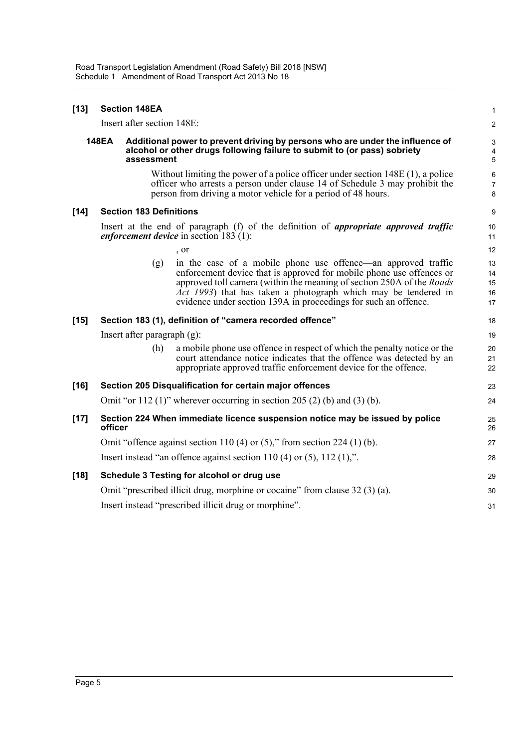| $[13]$ | <b>Section 148EA</b> |                                |                                                                                                                                                                                                                                                                                                                                                                         | $\mathbf{1}$                                 |
|--------|----------------------|--------------------------------|-------------------------------------------------------------------------------------------------------------------------------------------------------------------------------------------------------------------------------------------------------------------------------------------------------------------------------------------------------------------------|----------------------------------------------|
|        |                      | Insert after section 148E:     |                                                                                                                                                                                                                                                                                                                                                                         | $\boldsymbol{2}$                             |
|        | <b>148EA</b>         | assessment                     | Additional power to prevent driving by persons who are under the influence of<br>alcohol or other drugs following failure to submit to (or pass) sobriety                                                                                                                                                                                                               | $\ensuremath{\mathsf{3}}$<br>4<br>$\sqrt{5}$ |
|        |                      |                                | Without limiting the power of a police officer under section $148E(1)$ , a police<br>officer who arrests a person under clause 14 of Schedule 3 may prohibit the<br>person from driving a motor vehicle for a period of 48 hours.                                                                                                                                       | 6<br>$\overline{7}$<br>8                     |
| $[14]$ |                      | <b>Section 183 Definitions</b> |                                                                                                                                                                                                                                                                                                                                                                         | 9                                            |
|        |                      |                                | Insert at the end of paragraph (f) of the definition of <i>appropriate approved traffic</i><br><i>enforcement device</i> in section $183$ (1):                                                                                                                                                                                                                          | 10<br>11                                     |
|        |                      |                                | , or                                                                                                                                                                                                                                                                                                                                                                    | 12                                           |
|        |                      | (g)                            | in the case of a mobile phone use offence—an approved traffic<br>enforcement device that is approved for mobile phone use offences or<br>approved toll camera (within the meaning of section 250A of the <i>Roads</i><br>$\overline{Act}$ 1993) that has taken a photograph which may be tendered in<br>evidence under section 139A in proceedings for such an offence. | 13<br>14<br>15<br>16<br>17                   |
| $[15]$ |                      |                                | Section 183 (1), definition of "camera recorded offence"                                                                                                                                                                                                                                                                                                                | 18                                           |
|        |                      | Insert after paragraph $(g)$ : |                                                                                                                                                                                                                                                                                                                                                                         | 19                                           |
|        |                      | (h)                            | a mobile phone use offence in respect of which the penalty notice or the<br>court attendance notice indicates that the offence was detected by an<br>appropriate approved traffic enforcement device for the offence.                                                                                                                                                   | 20<br>21<br>22                               |
| $[16]$ |                      |                                | Section 205 Disqualification for certain major offences                                                                                                                                                                                                                                                                                                                 | 23                                           |
|        |                      |                                | Omit "or 112 (1)" wherever occurring in section 205 (2) (b) and (3) (b).                                                                                                                                                                                                                                                                                                | 24                                           |
| $[17]$ | officer              |                                | Section 224 When immediate licence suspension notice may be issued by police                                                                                                                                                                                                                                                                                            | 25<br>26                                     |
|        |                      |                                | Omit "offence against section 110 (4) or $(5)$ ," from section 224 (1) (b).                                                                                                                                                                                                                                                                                             | 27                                           |
|        |                      |                                | Insert instead "an offence against section $110(4)$ or $(5)$ , $112(1)$ ,".                                                                                                                                                                                                                                                                                             | 28                                           |
| $[18]$ |                      |                                | Schedule 3 Testing for alcohol or drug use                                                                                                                                                                                                                                                                                                                              | 29                                           |
|        |                      |                                | Omit "prescribed illicit drug, morphine or cocaine" from clause 32 (3) (a).                                                                                                                                                                                                                                                                                             | 30                                           |
|        |                      |                                | Insert instead "prescribed illicit drug or morphine".                                                                                                                                                                                                                                                                                                                   | 31                                           |